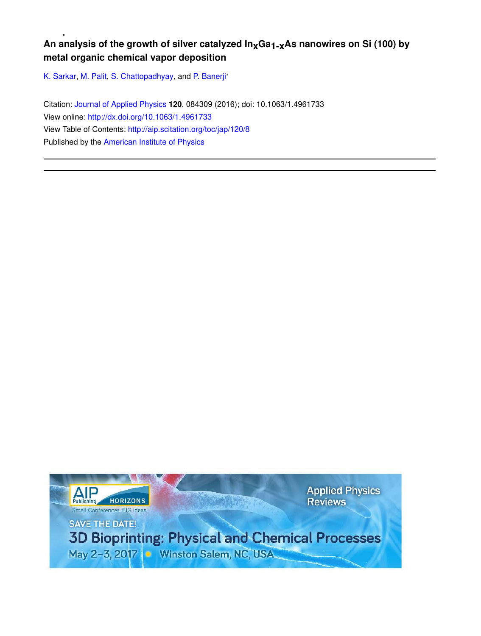# An analysis of the growth of silver catalyzed  $In_xGa_{1-x}As$  nanowires on Si (100) by **metal organic chemical vapor deposition**

K. Sarkar, M. Palit, S. Chattopadhyay, and P. Banerji<sup>,</sup>

Citation: Journal of Applied Physics **120**, 084309 (2016); doi: 10.1063/1.4961733 View online: http://dx.doi.org/10.1063/1.4961733 View Table of Contents: http://aip.scitation.org/toc/jap/120/8 Published by the American Institute of Physics

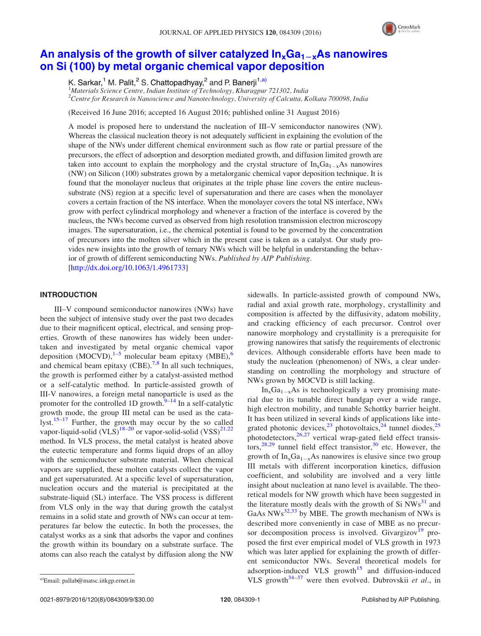

# An analysis of the growth of silver catalyzed  $In_xGa_{1-x}As$  nanowires on Si (100) by metal organic chemical vapor deposition

K. Sarkar,<sup>1</sup> M. Palit,<sup>2</sup> S. Chattopadhyay,<sup>2</sup> and P. Banerji<sup>1,a)</sup>

<sup>1</sup>Materials Science Centre, Indian Institute of Technology, Kharagpur 721302, India  $2^2$ Centre for Research in Nanoscience and Nanotechnology, University of Calcutta, Kolkata 700098, India

(Received 16 June 2016; accepted 16 August 2016; published online 31 August 2016)

A model is proposed here to understand the nucleation of III–V semiconductor nanowires (NW). Whereas the classical nucleation theory is not adequately sufficient in explaining the evolution of the shape of the NWs under different chemical environment such as flow rate or partial pressure of the precursors, the effect of adsorption and desorption mediated growth, and diffusion limited growth are taken into account to explain the morphology and the crystal structure of  $\text{In}_x\text{Ga}_{1-x}\text{As}$  nanowires (NW) on Silicon (100) substrates grown by a metalorganic chemical vapor deposition technique. It is found that the monolayer nucleus that originates at the triple phase line covers the entire nucleussubstrate (NS) region at a specific level of supersaturation and there are cases when the monolayer covers a certain fraction of the NS interface. When the monolayer covers the total NS interface, NWs grow with perfect cylindrical morphology and whenever a fraction of the interface is covered by the nucleus, the NWs become curved as observed from high resolution transmission electron microscopy images. The supersaturation, i.e., the chemical potential is found to be governed by the concentration of precursors into the molten silver which in the present case is taken as a catalyst. Our study provides new insights into the growth of ternary NWs which will be helpful in understanding the behavior of growth of different semiconducting NWs. Published by AIP Publishing. [http://dx.doi.org/10.1063/1.4961733]

### INTRODUCTION

III–V compound semiconductor nanowires (NWs) have been the subject of intensive study over the past two decades due to their magnificent optical, electrical, and sensing properties. Growth of these nanowires has widely been undertaken and investigated by metal organic chemical vapor deposition  $(MOCVD)$ ,<sup>1–5</sup> molecular beam epitaxy  $(MBE)$ ,<sup>6</sup> and chemical beam epitaxy  $(CBE)$ .<sup>7,8</sup> In all such techniques, the growth is performed either by a catalyst-assisted method or a self-catalytic method. In particle-assisted growth of III-V nanowires, a foreign metal nanoparticle is used as the promoter for the controlled 1D growth. $\frac{9-14}{9}$  In a self-catalytic growth mode, the group III metal can be used as the catalyst.<sup>15–17</sup> Further, the growth may occur by the so called vapor-liquid-solid (VLS)<sup>18–20</sup> or vapor-solid-solid (VSS)<sup>21,22</sup> method. In VLS process, the metal catalyst is heated above the eutectic temperature and forms liquid drops of an alloy with the semiconductor substrate material. When chemical vapors are supplied, these molten catalysts collect the vapor and get supersaturated. At a specific level of supersaturation, nucleation occurs and the material is precipitated at the substrate-liquid (SL) interface. The VSS process is different from VLS only in the way that during growth the catalyst remains in a solid state and growth of NWs can occur at temperatures far below the eutectic. In both the processes, the catalyst works as a sink that adsorbs the vapor and confines the growth within its boundary on a substrate surface. The atoms can also reach the catalyst by diffusion along the NW sidewalls. In particle-assisted growth of compound NWs, radial and axial growth rate, morphology, crystallinity and composition is affected by the diffusivity, adatom mobility, and cracking efficiency of each precursor. Control over nanowire morphology and crystallinity is a prerequisite for growing nanowires that satisfy the requirements of electronic devices. Although considerable efforts have been made to study the nucleation (phenomenon) of NWs, a clear understanding on controlling the morphology and structure of NWs grown by MOCVD is still lacking.

 $In_xGa_{1-x}As$  is technologically a very promising material due to its tunable direct bandgap over a wide range, high electron mobility, and tunable Schottky barrier height. It has been utilized in several kinds of applications like integrated photonic devices,  $2^3$  photovoltaics,  $2^4$  tunnel diodes,  $2^5$  $\frac{1}{26,27}$  vertical wrap-gated field effect transistors,<sup>28,29</sup> tunnel field effect transistor, $30$  etc. However, the growth of  $In_xGa_{1-x}As$  nanowires is elusive since two group III metals with different incorporation kinetics, diffusion coefficient, and solubility are involved and a very little insight about nucleation at nano level is available. The theoretical models for NW growth which have been suggested in the literature mostly deals with the growth of Si  $NWs<sup>31</sup>$  and GaAs  $NWs^{32,33}$  by MBE. The growth mechanism of NWs is described more conveniently in case of MBE as no precursor decomposition process is involved. Givargizov<sup>19</sup> proposed the first ever empirical model of VLS growth in 1973 which was later applied for explaining the growth of different semiconductor NWs. Several theoretical models for adsorption-induced VLS growth $15$  and diffusion-induced <sup>a)</sup>Email: pallab@matsc.iitkgp.ernet.in VLS growth<sup>34-37</sup> were then evolved. Dubrovskii et al., in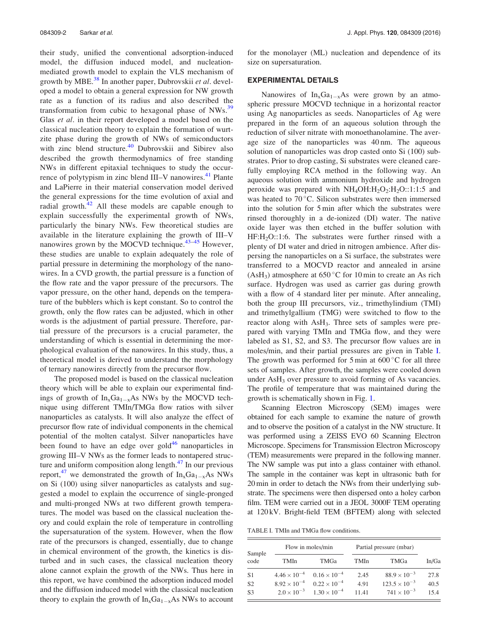their study, unified the conventional adsorption-induced model, the diffusion induced model, and nucleationmediated growth model to explain the VLS mechanism of growth by MBE.<sup>38</sup> In another paper, Dubrovskii *et al.* developed a model to obtain a general expression for NW growth rate as a function of its radius and also described the transformation from cubic to hexagonal phase of NWs.<sup>39</sup> Glas et al. in their report developed a model based on the classical nucleation theory to explain the formation of wurtzite phase during the growth of NWs of semiconductors with zinc blend structure.<sup>40</sup> Dubrovskii and Sibirev also described the growth thermodynamics of free standing NWs in different epitaxial techniques to study the occurrence of polytypism in zinc blend III–V nanowires.<sup>41</sup> Plante and LaPierre in their material conservation model derived the general expressions for the time evolution of axial and radial growth. $42$  All these models are capable enough to explain successfully the experimental growth of NWs, particularly the binary NWs. Few theoretical studies are available in the literature explaining the growth of III–V nanowires grown by the MOCVD technique.<sup>43-45</sup> However, these studies are unable to explain adequately the role of partial pressure in determining the morphology of the nanowires. In a CVD growth, the partial pressure is a function of the flow rate and the vapor pressure of the precursors. The vapor pressure, on the other hand, depends on the temperature of the bubblers which is kept constant. So to control the growth, only the flow rates can be adjusted, which in other words is the adjustment of partial pressure. Therefore, partial pressure of the precursors is a crucial parameter, the understanding of which is essential in determining the morphological evaluation of the nanowires. In this study, thus, a theoretical model is derived to understand the morphology of ternary nanowires directly from the precursor flow.

The proposed model is based on the classical nucleation theory which will be able to explain our experimental findings of growth of  $In_xGa_{1-x}As$  NWs by the MOCVD technique using different TMIn/TMGa flow ratios with silver nanoparticles as catalysts. It will also analyze the effect of precursor flow rate of individual components in the chemical potential of the molten catalyst. Silver nanoparticles have been found to have an edge over  $gold<sup>46</sup>$  nanoparticles in growing III–V NWs as the former leads to nontapered structure and uniform composition along length. $47$  In our previous report,<sup>47</sup> we demonstrated the growth of  $In_xGa_{1-x}As$  NWs on Si (100) using silver nanoparticles as catalysts and suggested a model to explain the occurrence of single-pronged and multi-pronged NWs at two different growth temperatures. The model was based on the classical nucleation theory and could explain the role of temperature in controlling the supersaturation of the system. However, when the flow rate of the precursors is changed, essentially, due to change in chemical environment of the growth, the kinetics is disturbed and in such cases, the classical nucleation theory alone cannot explain the growth of the NWs. Thus here in this report, we have combined the adsorption induced model and the diffusion induced model with the classical nucleation theory to explain the growth of  $In_xGa_{1-x}As$  NWs to account

for the monolayer (ML) nucleation and dependence of its size on supersaturation.

#### EXPERIMENTAL DETAILS

Nanowires of  $In_xGa_{1-x}As$  were grown by an atmospheric pressure MOCVD technique in a horizontal reactor using Ag nanoparticles as seeds. Nanoparticles of Ag were prepared in the form of an aqueous solution through the reduction of silver nitrate with monoethanolamine. The average size of the nanoparticles was 40 nm. The aqueous solution of nanoparticles was drop casted onto Si (100) substrates. Prior to drop casting, Si substrates were cleaned carefully employing RCA method in the following way. An aqueous solution with ammonium hydroxide and hydrogen peroxide was prepared with  $NH<sub>4</sub>OH:H<sub>2</sub>O<sub>2</sub>:H<sub>2</sub>O<sub>1</sub>:1:5$  and was heated to  $70^{\circ}$ C. Silicon substrates were then immersed into the solution for 5 min after which the substrates were rinsed thoroughly in a de-ionized (DI) water. The native oxide layer was then etched in the buffer solution with  $HF:H<sub>2</sub>O::1:6$ . The substrates were further rinsed with a plenty of DI water and dried in nitrogen ambience. After dispersing the nanoparticles on a Si surface, the substrates were transferred to a MOCVD reactor and annealed in arsine (AsH<sub>3</sub>) atmosphere at  $650\,^{\circ}\text{C}$  for 10 min to create an As rich surface. Hydrogen was used as carrier gas during growth with a flow of 4 standard liter per minute. After annealing, both the group III precursors, viz., trimethylindium (TMI) and trimethylgallium (TMG) were switched to flow to the reactor along with AsH<sub>3</sub>. Three sets of samples were prepared with varying TMIn and TMGa flow, and they were labeled as S1, S2, and S3. The precursor flow values are in moles/min, and their partial pressures are given in Table I. The growth was performed for 5 min at  $600^{\circ}$ C for all three sets of samples. After growth, the samples were cooled down under  $\text{AsH}_3$  over pressure to avoid forming of As vacancies. The profile of temperature that was maintained during the growth is schematically shown in Fig. 1.

Scanning Electron Microscopy (SEM) images were obtained for each sample to examine the nature of growth and to observe the position of a catalyst in the NW structure. It was performed using a ZEISS EVO 60 Scanning Electron Microscope. Specimens for Transmission Electron Microscopy (TEM) measurements were prepared in the following manner. The NW sample was put into a glass container with ethanol. The sample in the container was kept in ultrasonic bath for 20 min in order to detach the NWs from their underlying substrate. The specimens were then dispersed onto a holey carbon film. TEM were carried out in a JEOL 3000F TEM operating at 120 kV. Bright-field TEM (BFTEM) along with selected

TABLE I. TMIn and TMGa flow conditions.

| Sample<br>code | Flow in moles/min     |                       | Partial pressure (mbar) |                        |       |
|----------------|-----------------------|-----------------------|-------------------------|------------------------|-------|
|                | TMIn                  | TMGa                  | TMIn                    | TMGa                   | In/Ga |
| S1             | $4.46 \times 10^{-4}$ | $0.16 \times 10^{-4}$ | 2.45                    | $88.9 \times 10^{-3}$  | 27.8  |
| S <sub>2</sub> | $8.92 \times 10^{-4}$ | $0.22 \times 10^{-4}$ | 4.91                    | $123.5 \times 10^{-3}$ | 40.5  |
| S <sub>3</sub> | $2.0 \times 10^{-3}$  | $1.30 \times 10^{-4}$ | 11.41                   | $741 \times 10^{-3}$   | 15.4  |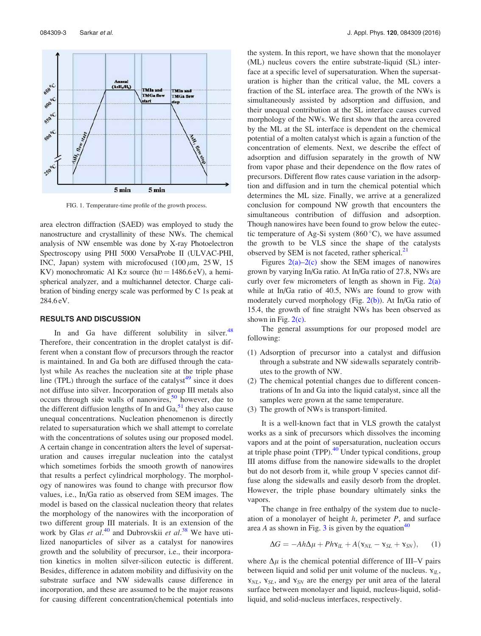

FIG. 1. Temperature-time profile of the growth process.

area electron diffraction (SAED) was employed to study the nanostructure and crystallinity of these NWs. The chemical analysis of NW ensemble was done by X-ray Photoelectron Spectroscopy using PHI 5000 VersaProbe II (ULVAC-PHI, INC, Japan) system with microfocused  $(100 \mu m, 25 W, 15$ KV) monochromatic Al K $\alpha$  source (hv = 1486.6 eV), a hemispherical analyzer, and a multichannel detector. Charge calibration of binding energy scale was performed by C 1s peak at 284.6 eV.

## RESULTS AND DISCUSSION

In and Ga have different solubility in silver. $48$ Therefore, their concentration in the droplet catalyst is different when a constant flow of precursors through the reactor is maintained. In and Ga both are diffused through the catalyst while As reaches the nucleation site at the triple phase line (TPL) through the surface of the catalyst<sup>49</sup> since it does not diffuse into silver. Incorporation of group III metals also occurs through side walls of nanowires,<sup>50</sup> however, due to the different diffusion lengths of In and  $Ga<sub>2</sub>$ <sup>51</sup>, they also cause unequal concentrations. Nucleation phenomenon is directly related to supersaturation which we shall attempt to correlate with the concentrations of solutes using our proposed model. A certain change in concentration alters the level of supersaturation and causes irregular nucleation into the catalyst which sometimes forbids the smooth growth of nanowires that results a perfect cylindrical morphology. The morphology of nanowires was found to change with precursor flow values, i.e., In/Ga ratio as observed from SEM images. The model is based on the classical nucleation theory that relates the morphology of the nanowires with the incorporation of two different group III materials. It is an extension of the work by Glas et  $a\hat{l}$ .<sup>40</sup> and Dubrovskii et  $a\hat{l}$ .<sup>38</sup> We have utilized nanoparticles of silver as a catalyst for nanowires growth and the solubility of precursor, i.e., their incorporation kinetics in molten silver-silicon eutectic is different. Besides, difference in adatom mobility and diffusivity on the substrate surface and NW sidewalls cause difference in incorporation, and these are assumed to be the major reasons for causing different concentration/chemical potentials into the system. In this report, we have shown that the monolayer (ML) nucleus covers the entire substrate-liquid (SL) interface at a specific level of supersaturation. When the supersaturation is higher than the critical value, the ML covers a fraction of the SL interface area. The growth of the NWs is simultaneously assisted by adsorption and diffusion, and their unequal contribution at the SL interface causes curved morphology of the NWs. We first show that the area covered by the ML at the SL interface is dependent on the chemical potential of a molten catalyst which is again a function of the concentration of elements. Next, we describe the effect of adsorption and diffusion separately in the growth of NW from vapor phase and their dependence on the flow rates of precursors. Different flow rates cause variation in the adsorption and diffusion and in turn the chemical potential which determines the ML size. Finally, we arrive at a generalized conclusion for compound NW growth that encounters the simultaneous contribution of diffusion and adsorption. Though nanowires have been found to grow below the eutectic temperature of Ag-Si system  $(860 °C)$ , we have assumed the growth to be VLS since the shape of the catalysts observed by SEM is not faceted, rather spherical.<sup>21</sup>

Figures  $2(a)-2(c)$  show the SEM images of nanowires grown by varying In/Ga ratio. At In/Ga ratio of 27.8, NWs are curly over few micrometers of length as shown in Fig.  $2(a)$ while at In/Ga ratio of 40.5, NWs are found to grow with moderately curved morphology (Fig. 2(b)). At In/Ga ratio of 15.4, the growth of fine straight NWs has been observed as shown in Fig.  $2(c)$ .

The general assumptions for our proposed model are following:

- (1) Adsorption of precursor into a catalyst and diffusion through a substrate and NW sidewalls separately contributes to the growth of NW.
- (2) The chemical potential changes due to different concentrations of In and Ga into the liquid catalyst, since all the samples were grown at the same temperature.
- (3) The growth of NWs is transport-limited.

It is a well-known fact that in VLS growth the catalyst works as a sink of precursors which dissolves the incoming vapors and at the point of supersaturation, nucleation occurs at triple phase point  $(TPP)$ .<sup>40</sup> Under typical conditions, group III atoms diffuse from the nanowire sidewalls to the droplet but do not desorb from it, while group V species cannot diffuse along the sidewalls and easily desorb from the droplet. However, the triple phase boundary ultimately sinks the vapors.

The change in free enthalpy of the system due to nucleation of a monolayer of height  $h$ , perimeter  $P$ , and surface area A as shown in Fig. 3 is given by the equation<sup>40</sup>

$$
\Delta G = -Ah\Delta \mu + Phv_{IL} + A(v_{NL} - v_{SL} + v_{SN}), \quad (1)
$$

where  $\Delta \mu$  is the chemical potential difference of III–V pairs between liquid and solid per unit volume of the nucleus.  $Y_{ll}$ ,  $Y_{NL}$ ,  $Y_{SL}$ , and  $Y_{SN}$  are the energy per unit area of the lateral surface between monolayer and liquid, nucleus-liquid, solidliquid, and solid-nucleus interfaces, respectively.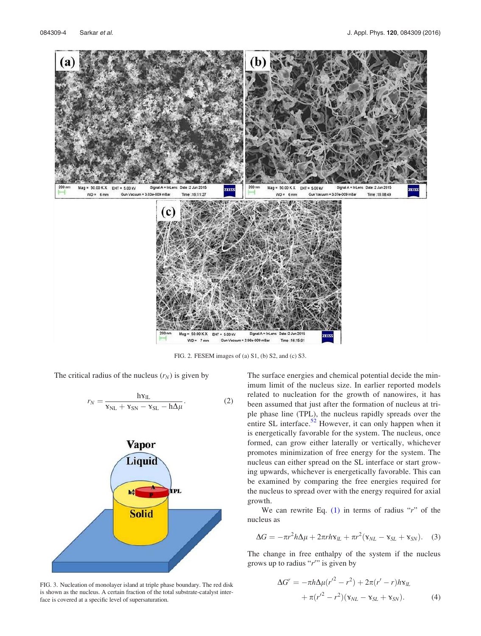

FIG. 2. FESEM images of (a) S1, (b) S2, and (c) S3.

The critical radius of the nucleus  $(r_N)$  is given by

$$
r_N = \frac{h \mathbf{v}_{IL}}{\mathbf{v}_{NL} + \mathbf{v}_{SN} - \mathbf{v}_{SL} - h\Delta\mu}.
$$
 (2)



FIG. 3. Nucleation of monolayer island at triple phase boundary. The red disk is shown as the nucleus. A certain fraction of the total substrate-catalyst interface is covered at a specific level of supersaturation.

The surface energies and chemical potential decide the minimum limit of the nucleus size. In earlier reported models related to nucleation for the growth of nanowires, it has been assumed that just after the formation of nucleus at triple phase line (TPL), the nucleus rapidly spreads over the entire SL interface.<sup>52</sup> However, it can only happen when it is energetically favorable for the system. The nucleus, once formed, can grow either laterally or vertically, whichever promotes minimization of free energy for the system. The nucleus can either spread on the SL interface or start growing upwards, whichever is energetically favorable. This can be examined by comparing the free energies required for the nucleus to spread over with the energy required for axial growth.

We can rewrite Eq.  $(1)$  in terms of radius "r" of the nucleus as

$$
\Delta G = -\pi r^2 h \Delta \mu + 2\pi r h \mathbf{v}_{\parallel L} + \pi r^2 (\mathbf{v}_{NL} - \mathbf{v}_{SL} + \mathbf{v}_{SN}). \quad (3)
$$

The change in free enthalpy of the system if the nucleus grows up to radius " $r$ " is given by

$$
\Delta G^{r} = -\pi h \Delta \mu (r'^{2} - r^{2}) + 2\pi (r' - r) h \mathbf{v}_{lL} + \pi (r'^{2} - r^{2}) (\mathbf{v}_{NL} - \mathbf{v}_{SL} + \mathbf{v}_{SN}).
$$
 (4)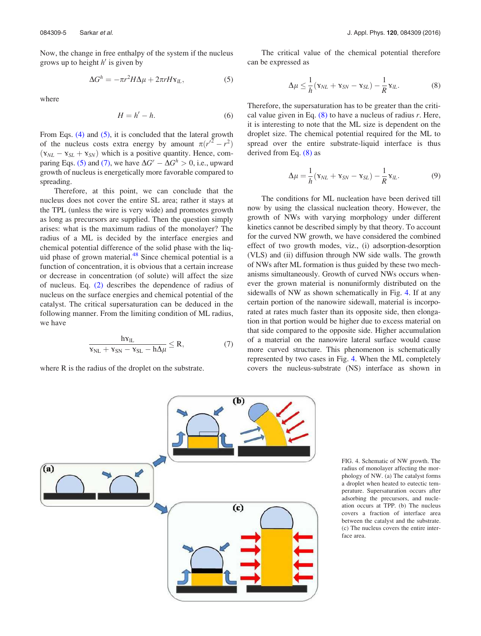Now, the change in free enthalpy of the system if the nucleus grows up to height  $h'$  is given by

$$
\Delta G^h = -\pi r^2 H \Delta \mu + 2\pi r H \mathbf{v}_{\mu},\tag{5}
$$

where

$$
H = h' - h.\tag{6}
$$

From Eqs. (4) and (5), it is concluded that the lateral growth of the nucleus costs extra energy by amount  $\pi (r^2 - r^2)$  $(v_{NL} - v_{SL} + v_{SN})$  which is a positive quantity. Hence, comparing Eqs. (5) and (7), we have  $\Delta G^r - \Delta G^h > 0$ , i.e., upward growth of nucleus is energetically more favorable compared to spreading.

Therefore, at this point, we can conclude that the nucleus does not cover the entire SL area; rather it stays at the TPL (unless the wire is very wide) and promotes growth as long as precursors are supplied. Then the question simply arises: what is the maximum radius of the monolayer? The radius of a ML is decided by the interface energies and chemical potential difference of the solid phase with the liquid phase of grown material. $48$  Since chemical potential is a function of concentration, it is obvious that a certain increase or decrease in concentration (of solute) will affect the size of nucleus. Eq. (2) describes the dependence of radius of nucleus on the surface energies and chemical potential of the catalyst. The critical supersaturation can be deduced in the following manner. From the limiting condition of ML radius, we have

$$
\frac{h v_{IL}}{v_{NL} + v_{SN} - v_{SL} - h \Delta \mu} \le R, \tag{7}
$$

where R is the radius of the droplet on the substrate.

The critical value of the chemical potential therefore can be expressed as

$$
\Delta \mu \leq \frac{1}{h} (\mathbf{x}_{NL} + \mathbf{x}_{SN} - \mathbf{x}_{SL}) - \frac{1}{R} \mathbf{x}_{IL}.
$$
 (8)

Therefore, the supersaturation has to be greater than the critical value given in Eq.  $(8)$  to have a nucleus of radius r. Here, it is interesting to note that the ML size is dependent on the droplet size. The chemical potential required for the ML to spread over the entire substrate-liquid interface is thus derived from Eq. (8) as

$$
\Delta \mu = \frac{1}{h} (\mathbf{x}_{NL} + \mathbf{x}_{SN} - \mathbf{x}_{SL}) - \frac{1}{R} \mathbf{x}_{IL}.
$$
 (9)

The conditions for ML nucleation have been derived till now by using the classical nucleation theory. However, the growth of NWs with varying morphology under different kinetics cannot be described simply by that theory. To account for the curved NW growth, we have considered the combined effect of two growth modes, viz., (i) adsorption-desorption (VLS) and (ii) diffusion through NW side walls. The growth of NWs after ML formation is thus guided by these two mechanisms simultaneously. Growth of curved NWs occurs whenever the grown material is nonuniformly distributed on the sidewalls of NW as shown schematically in Fig. 4. If at any certain portion of the nanowire sidewall, material is incorporated at rates much faster than its opposite side, then elongation in that portion would be higher due to excess material on that side compared to the opposite side. Higher accumulation of a material on the nanowire lateral surface would cause more curved structure. This phenomenon is schematically represented by two cases in Fig. 4. When the ML completely covers the nucleus-substrate (NS) interface as shown in



FIG. 4. Schematic of NW growth. The radius of monolayer affecting the morphology of NW. (a) The catalyst forms a droplet when heated to eutectic temperature. Supersaturation occurs after adsorbing the precursors, and nucleation occurs at TPP. (b) The nucleus covers a fraction of interface area between the catalyst and the substrate. (c) The nucleus covers the entire interface area.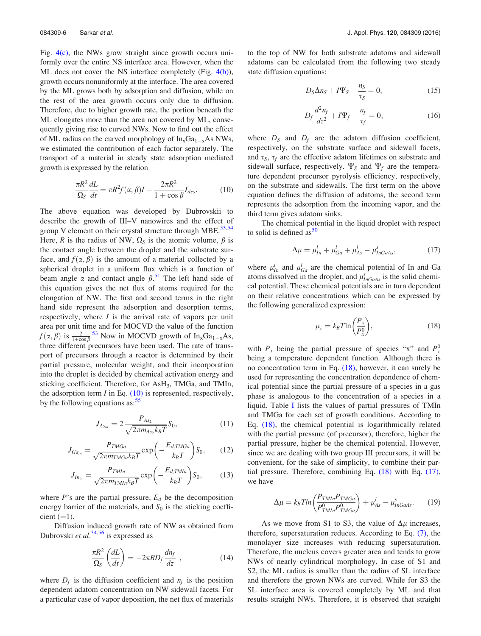Fig. 4(c), the NWs grow straight since growth occurs uniformly over the entire NS interface area. However, when the ML does not cover the NS interface completely (Fig. 4(b)), growth occurs nonuniformly at the interface. The area covered by the ML grows both by adsorption and diffusion, while on the rest of the area growth occurs only due to diffusion. Therefore, due to higher growth rate, the portion beneath the ML elongates more than the area not covered by ML, consequently giving rise to curved NWs. Now to find out the effect of ML radius on the curved morphology of  $In_xGa_{1-x}As$  NWs, we estimated the contribution of each factor separately. The transport of a material in steady state adsorption mediated growth is expressed by the relation

$$
\frac{\pi R^2}{\Omega_S} \frac{dL}{dt} = \pi R^2 f(\alpha, \beta) I - \frac{2\pi R^2}{1 + \cos \beta} I_{des}.
$$
 (10)

The above equation was developed by Dubrovskii to describe the growth of III–V nanowires and the effect of group V element on their crystal structure through MBE. $53,54$ Here, R is the radius of NW,  $\Omega_s$  is the atomic volume,  $\beta$  is the contact angle between the droplet and the substrate surface, and  $f(\alpha, \beta)$  is the amount of a material collected by a spherical droplet in a uniform flux which is a function of beam angle  $\alpha$  and contact angle  $\beta$ .<sup>51</sup> The left hand side of this equation gives the net flux of atoms required for the elongation of NW. The first and second terms in the right hand side represent the adsorption and desorption terms, respectively, where  $I$  is the arrival rate of vapors per unit area per unit time and for MOCVD the value of the function  $f(\alpha, \beta)$  is  $\frac{2}{1+\cos \beta}$ .<sup>53</sup> Now in MOCVD growth of In<sub>x</sub>Ga<sub>1-x</sub>As, three different precursors have been used. The rate of transport of precursors through a reactor is determined by their partial pressure, molecular weight, and their incorporation into the droplet is decided by chemical activation energy and sticking coefficient. Therefore, for AsH<sub>3</sub>, TMGa, and TMIn, the adsorption term  $I$  in Eq.  $(10)$  is represented, respectively, by the following equations as: $55$ 

$$
J_{As_{in}} = 2 \frac{P_{As_2}}{\sqrt{2\pi m_{As_2} k_B T}} S_0,
$$
\n(11)

$$
J_{Ga_{in}} = \frac{P_{TMGa}}{\sqrt{2\pi m_{TMGa}k_B T}} \exp\left(-\frac{E_{d,TMGa}}{k_B T}\right) S_0, \quad (12)
$$

$$
J_{In_{in}} = \frac{P_{T M In}}{\sqrt{2 \pi m_{T M In} k_B T}} \exp\left(-\frac{E_{d, T M In}}{k_B T}\right) S_0, \tag{13}
$$

where  $P$ 's are the partial pressure,  $E_d$  be the decomposition energy barrier of the materials, and  $S_0$  is the sticking coefficient  $(=1)$ .

Diffusion induced growth rate of NW as obtained from Dubrovski et al.<sup>34,56</sup> is expressed as

$$
\frac{\pi R^2}{\Omega_S} \left( \frac{dL}{dt} \right) = -2\pi R D_f \frac{d n_f}{dz} \bigg|, \tag{14}
$$

where  $D_f$  is the diffusion coefficient and  $n_f$  is the position dependent adatom concentration on NW sidewall facets. For a particular case of vapor deposition, the net flux of materials to the top of NW for both substrate adatoms and sidewall adatoms can be calculated from the following two steady state diffusion equations:

$$
D_S \Delta n_S + I \Psi_S - \frac{n_S}{\tau_S} = 0, \qquad (15)
$$

$$
D_f \frac{d^2 n_f}{dz^2} + I \Psi_f - \frac{n_f}{\tau_f} = 0,\tag{16}
$$

where  $D<sub>S</sub>$  and  $D<sub>f</sub>$  are the adatom diffusion coefficient, respectively, on the substrate surface and sidewall facets, and  $\tau_s$ ,  $\tau_f$  are the effective adatom lifetimes on substrate and sidewall surface, respectively.  $\Psi_S$  and  $\Psi_f$  are the temperature dependent precursor pyrolysis efficiency, respectively, on the substrate and sidewalls. The first term on the above equation defines the diffusion of adatoms, the second term represents the adsorption from the incoming vapor, and the third term gives adatom sinks.

The chemical potential in the liquid droplet with respect to solid is defined as  $50$ 

$$
\Delta \mu = \mu_{In}^l + \mu_{Ga}^l + \mu_{As}^l - \mu_{InGaAs}^s,\tag{17}
$$

where  $\mu_{In}^l$  and  $\mu_{Ga}^l$  are the chemical potential of In and Ga atoms dissolved in the droplet, and  $\mu_{InGaAs}^{s}$  is the solid chemical potential. These chemical potentials are in turn dependent on their relative concentrations which can be expressed by the following generalized expression:

$$
\mu_x = k_B T \ln \left( \frac{P_x}{P_x^0} \right),\tag{18}
$$

with  $P_x$  being the partial pressure of species "x" and  $P_x^0$ being a temperature dependent function. Although there is no concentration term in Eq. (18), however, it can surely be used for representing the concentration dependence of chemical potential since the partial pressure of a species in a gas phase is analogous to the concentration of a species in a liquid. Table I lists the values of partial pressures of TMIn and TMGa for each set of growth conditions. According to Eq. (18), the chemical potential is logarithmically related with the partial pressure (of precursor), therefore, higher the partial pressure, higher be the chemical potential. However, since we are dealing with two group III precursors, it will be convenient, for the sake of simplicity, to combine their partial pressure. Therefore, combining Eq. (18) with Eq. (17), we have

$$
\Delta \mu = k_B T ln \left( \frac{P_{T M ln} P_{T M G a}}{P_{T M ln}^0 P_{T M G a}^0} \right) + \mu_{As}^l - \mu_{InGaAs}^s. \tag{19}
$$

As we move from S1 to S3, the value of  $\Delta \mu$  increases, therefore, supersaturation reduces. According to Eq. (7), the monolayer size increases with reducing supersaturation. Therefore, the nucleus covers greater area and tends to grow NWs of nearly cylindrical morphology. In case of S1 and S2, the ML radius is smaller than the radius of SL interface and therefore the grown NWs are curved. While for S3 the SL interface area is covered completely by ML and that results straight NWs. Therefore, it is observed that straight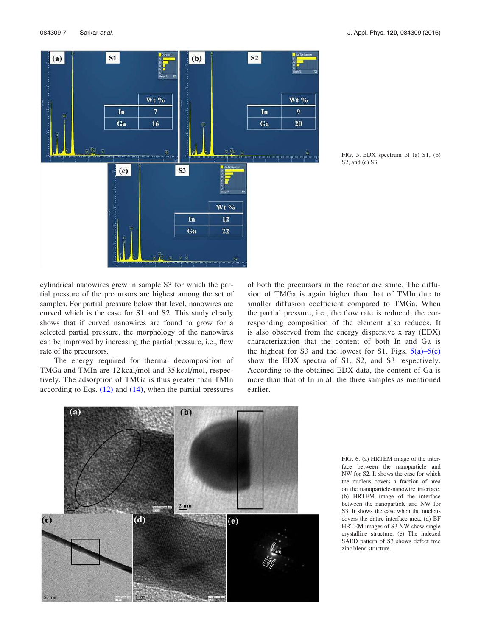

FIG. 5. EDX spectrum of (a) S1, (b) S2, and (c) S3.

cylindrical nanowires grew in sample S3 for which the partial pressure of the precursors are highest among the set of samples. For partial pressure below that level, nanowires are curved which is the case for S1 and S2. This study clearly shows that if curved nanowires are found to grow for a selected partial pressure, the morphology of the nanowires can be improved by increasing the partial pressure, i.e., flow rate of the precursors.

The energy required for thermal decomposition of TMGa and TMIn are 12 kcal/mol and 35 kcal/mol, respectively. The adsorption of TMGa is thus greater than TMIn according to Eqs.  $(12)$  and  $(14)$ , when the partial pressures

of both the precursors in the reactor are same. The diffusion of TMGa is again higher than that of TMIn due to smaller diffusion coefficient compared to TMGa. When the partial pressure, i.e., the flow rate is reduced, the corresponding composition of the element also reduces. It is also observed from the energy dispersive x ray (EDX) characterization that the content of both In and Ga is the highest for S3 and the lowest for S1. Figs.  $5(a)$ – $5(c)$ show the EDX spectra of S1, S2, and S3 respectively. According to the obtained EDX data, the content of Ga is more than that of In in all the three samples as mentioned earlier.



FIG. 6. (a) HRTEM image of the interface between the nanoparticle and NW for S2. It shows the case for which the nucleus covers a fraction of area on the nanoparticle-nanowire interface. (b) HRTEM image of the interface between the nanoparticle and NW for S3. It shows the case when the nucleus covers the entire interface area. (d) BF HRTEM images of S3 NW show single crystalline structure. (e) The indexed SAED pattern of S3 shows defect free zinc blend structure.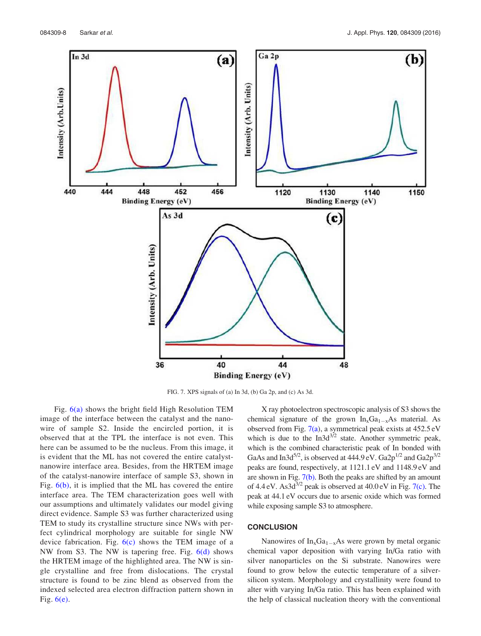

FIG. 7. XPS signals of (a) In 3d, (b) Ga 2p, and (c) As 3d.

Fig. 6(a) shows the bright field High Resolution TEM image of the interface between the catalyst and the nanowire of sample S2. Inside the encircled portion, it is observed that at the TPL the interface is not even. This here can be assumed to be the nucleus. From this image, it is evident that the ML has not covered the entire catalystnanowire interface area. Besides, from the HRTEM image of the catalyst-nanowire interface of sample S3, shown in Fig. 6(b), it is implied that the ML has covered the entire interface area. The TEM characterization goes well with our assumptions and ultimately validates our model giving direct evidence. Sample S3 was further characterized using TEM to study its crystalline structure since NWs with perfect cylindrical morphology are suitable for single NW device fabrication. Fig.  $6(c)$  shows the TEM image of a NW from S3. The NW is tapering free. Fig. 6(d) shows the HRTEM image of the highlighted area. The NW is single crystalline and free from dislocations. The crystal structure is found to be zinc blend as observed from the indexed selected area electron diffraction pattern shown in Fig.  $6(e)$ .

X ray photoelectron spectroscopic analysis of S3 shows the chemical signature of the grown  $In_xGa_{1-x}As$  material. As observed from Fig. 7(a), a symmetrical peak exists at 452.5 eV which is due to the  $In3d^{3/2}$  state. Another symmetric peak, which is the combined characteristic peak of In bonded with GaAs and In3d<sup>5/2</sup>, is observed at 444.9 eV. Ga2p<sup>1/2</sup> and Ga2p<sup>3/2</sup> peaks are found, respectively, at 1121.1 eV and 1148.9 eV and are shown in Fig. 7(b). Both the peaks are shifted by an amount of 4.4 eV. As  $3d^{3/2}$  peak is observed at 40.0 eV in Fig. 7(c). The peak at 44.1 eV occurs due to arsenic oxide which was formed while exposing sample S3 to atmosphere.

#### **CONCLUSION**

Nanowires of  $In_xGa_{1-x}As$  were grown by metal organic chemical vapor deposition with varying In/Ga ratio with silver nanoparticles on the Si substrate. Nanowires were found to grow below the eutectic temperature of a silversilicon system. Morphology and crystallinity were found to alter with varying In/Ga ratio. This has been explained with the help of classical nucleation theory with the conventional